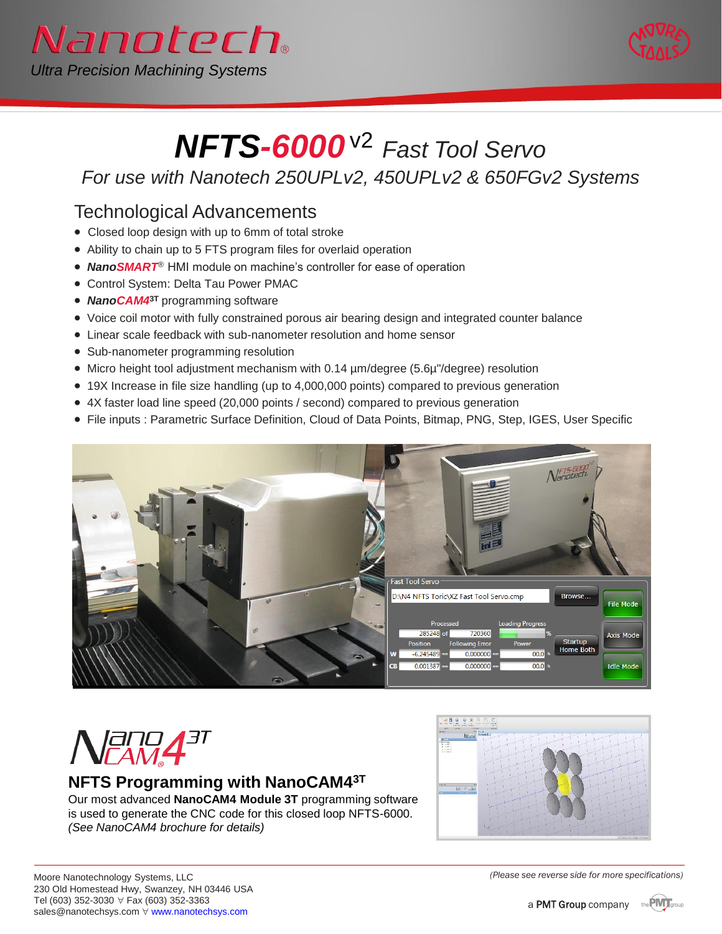



# *NFTS-6000*v2 *Fast Tool Servo*

*For use with Nanotech 250UPLv2, 450UPLv2 & 650FGv2 Systems*

### Technological Advancements

- Closed loop design with up to 6mm of total stroke
- Ability to chain up to 5 FTS program files for overlaid operation
- *NanoSMART*® HMI module on machine's controller for ease of operation
- Control System: Delta Tau Power PMAC
- *NanoCAM4***3T** programming software
- Voice coil motor with fully constrained porous air bearing design and integrated counter balance
- Linear scale feedback with sub-nanometer resolution and home sensor
- Sub-nanometer programming resolution
- Micro height tool adjustment mechanism with 0.14 µm/degree (5.6µ"/degree) resolution
- 19X Increase in file size handling (up to 4,000,000 points) compared to previous generation
- 4X faster load line speed (20,000 points / second) compared to previous generation
- File inputs : Parametric Surface Definition, Cloud of Data Points, Bitmap, PNG, Step, IGES, User Specific



# $N$ ang $4$ <sup>at</sup>

#### **NFTS Programming with NanoCAM43T**

Our most advanced **NanoCAM4 Module 3T** programming software is used to generate the CNC code for this closed loop NFTS-6000. *(See NanoCAM4 brochure for details)*



*(Please see reverse side for more specifications)*